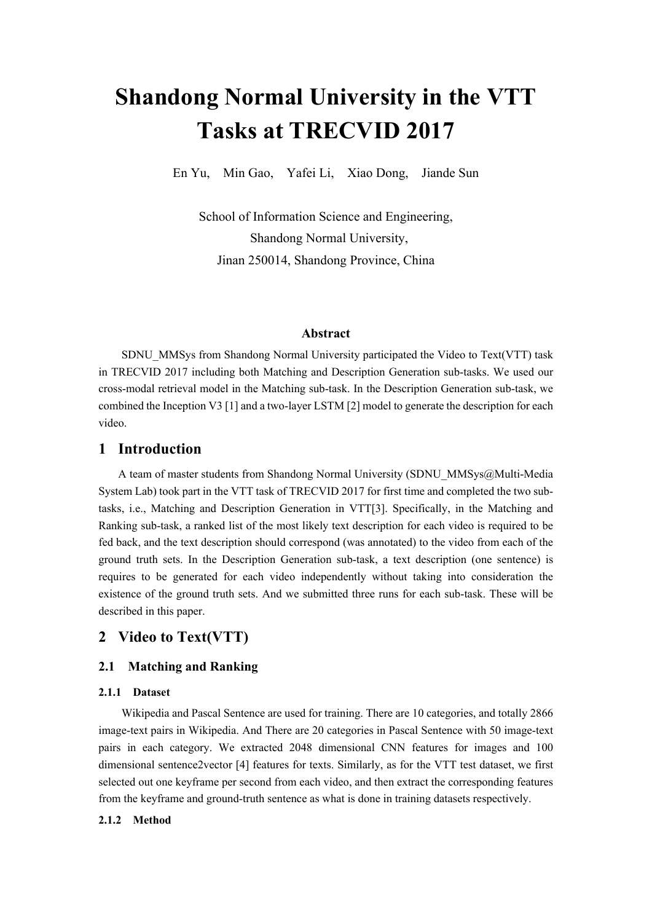# **Shandong Normal University in the VTT Tasks at TRECVID 2017**

En Yu, Min Gao, Yafei Li, Xiao Dong, Jiande Sun

School of Information Science and Engineering, Shandong Normal University, Jinan 250014, Shandong Province, China

#### **Abstract**

SDNU\_MMSys from Shandong Normal University participated the Video to Text(VTT) task in TRECVID 2017 including both Matching and Description Generation sub-tasks. We used our cross-modal retrieval model in the Matching sub-task. In the Description Generation sub-task, we combined the Inception V3 [1] and a two-layer LSTM [2] model to generate the description for each video.

### **1 Introduction**

A team of master students from Shandong Normal University (SDNU\_MMSys@Multi-Media System Lab) took part in the VTT task of TRECVID 2017 for first time and completed the two subtasks, i.e., Matching and Description Generation in VTT[3]. Specifically, in the Matching and Ranking sub-task, a ranked list of the most likely text description for each video is required to be fed back, and the text description should correspond (was annotated) to the video from each of the ground truth sets. In the Description Generation sub-task, a text description (one sentence) is requires to be generated for each video independently without taking into consideration the existence of the ground truth sets. And we submitted three runs for each sub-task. These will be described in this paper.

## **2 Video to Text(VTT)**

#### **2.1 Matching and Ranking**

#### **2.1.1 Dataset**

Wikipedia and Pascal Sentence are used for training. There are 10 categories, and totally 2866 image-text pairs in Wikipedia. And There are 20 categories in Pascal Sentence with 50 image-text pairs in each category. We extracted 2048 dimensional CNN features for images and 100 dimensional sentence2vector [4] features for texts. Similarly, as for the VTT test dataset, we first selected out one keyframe per second from each video, and then extract the corresponding features from the keyframe and ground-truth sentence as what is done in training datasets respectively.

#### **2.1.2 Method**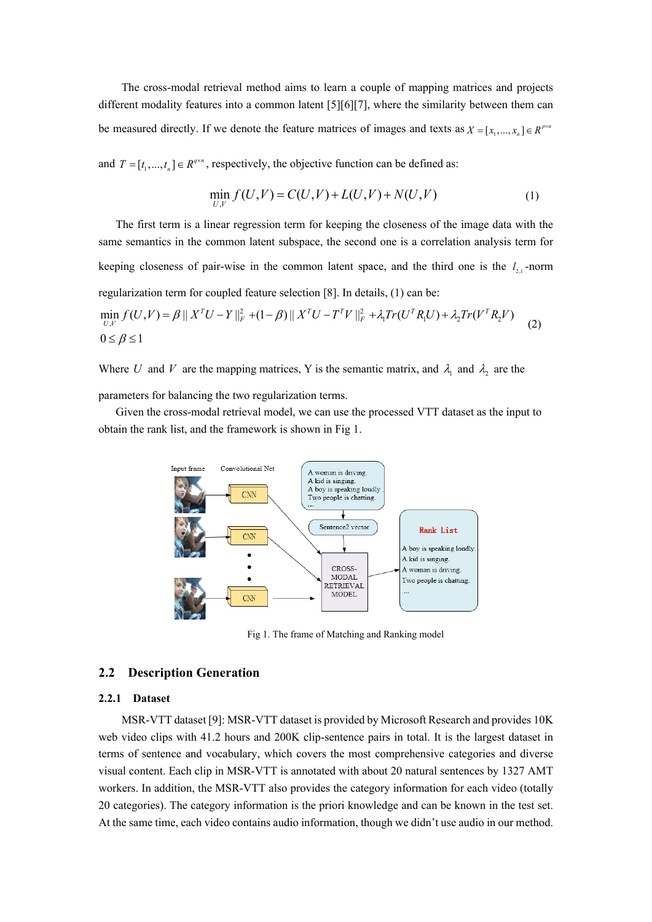The cross-modal retrieval method aims to learn a couple of mapping matrices and projects different modality features into a common latent [5][6][7], where the similarity between them can be measured directly. If we denote the feature matrices of images and texts as  $X = [x_1, ..., x_n] \in R^{p \times n}$ 

and  $T = [t_1, ..., t_n] \in R^{q \times n}$ , respectively, the objective function can be defined as:

$$
\min_{U,V} f(U,V) = C(U,V) + L(U,V) + N(U,V) \tag{1}
$$

The first term is a linear regression term for keeping the closeness of the image data with the same semantics in the common latent subspace, the second one is a correlation analysis term for keeping closeness of pair-wise in the common latent space, and the third one is the  $l_{2,1}$ -norm regularization term for coupled feature selection [8]. In details, (1) can be: 2 2 *T T T T T*

$$
\min_{U,V} f(U,V) = \beta || X^T U - Y ||_F^2 + (1 - \beta) || X^T U - T^T V ||_F^2 + \lambda_1 Tr(U^T R_1 U) + \lambda_2 Tr(V^T R_2 V) \tag{2}
$$
  
0 \le \beta \le 1

Where U and V are the mapping matrices, Y is the semantic matrix, and  $\lambda_1$  and  $\lambda_2$  are the parameters for balancing the two regularization terms.

 Given the cross-modal retrieval model, we can use the processed VTT dataset as the input to obtain the rank list, and the framework is shown in Fig 1.



Fig 1. The frame of Matching and Ranking model

#### **2.2 Description Generation**

#### **2.2.1 Dataset**

MSR-VTT dataset [9]: MSR-VTT dataset is provided by Microsoft Research and provides 10K web video clips with 41.2 hours and 200K clip-sentence pairs in total. It is the largest dataset in terms of sentence and vocabulary, which covers the most comprehensive categories and diverse visual content. Each clip in MSR-VTT is annotated with about 20 natural sentences by 1327 AMT workers. In addition, the MSR-VTT also provides the category information for each video (totally 20 categories). The category information is the priori knowledge and can be known in the test set. At the same time, each video contains audio information, though we didn't use audio in our method.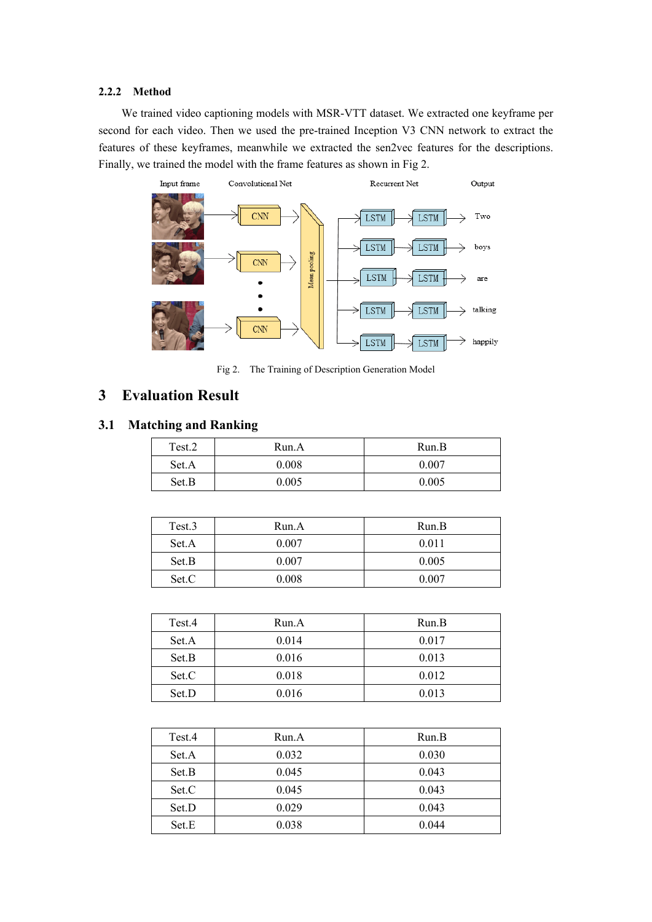#### **2.2.2 Method**

We trained video captioning models with MSR-VTT dataset. We extracted one keyframe per second for each video. Then we used the pre-trained Inception V3 CNN network to extract the features of these keyframes, meanwhile we extracted the sen2vec features for the descriptions. Finally, we trained the model with the frame features as shown in Fig 2.



Fig 2. The Training of Description Generation Model

## **3 [Evaluation](file:///D:/360download/Youdao/Dict/7.5.0.0/resultui/dict/?keyword=evaluation) [Result](file:///D:/360download/Youdao/Dict/7.5.0.0/resultui/dict/%3Fkeyword=result)**

## **3.1 Matching and Ranking**

| Test.2 | Run.A | Run.B |
|--------|-------|-------|
| Set.A  | 0.008 | 0.007 |
| Set.B  | 0.005 | 0.005 |

| Test.3 | Run.A | Run.B |
|--------|-------|-------|
| Set.A  | 0.007 | 0.011 |
| Set.B  | 0.007 | 0.005 |
| Set.C  | 0.008 | 0.007 |

| Test.4 | Run.A | Run.B |
|--------|-------|-------|
| Set.A  | 0.014 | 0.017 |
| Set.B  | 0.016 | 0.013 |
| Set.C  | 0.018 | 0.012 |
| Set.D  | 0.016 | 0.013 |

| Test.4 | Run.A | Run.B |
|--------|-------|-------|
| Set.A  | 0.032 | 0.030 |
| Set.B  | 0.045 | 0.043 |
| Set.C  | 0.045 | 0.043 |
| Set.D  | 0.029 | 0.043 |
| Set.E  | 0.038 | 0.044 |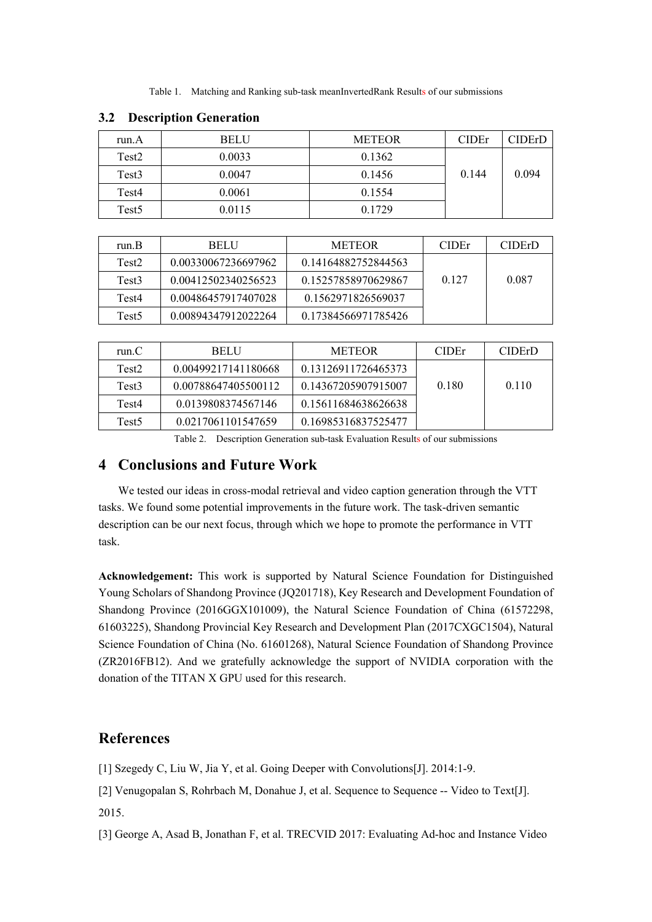Table 1. Matching and Ranking sub-task meanInvertedRank [Result](file:///D:/360download/Youdao/Dict/7.5.0.0/resultui/dict/%3Fkeyword=result)s of our submissions

| run.A             | <b>BELU</b> | <b>METEOR</b> | <b>CIDE</b> r | CIDErD |
|-------------------|-------------|---------------|---------------|--------|
| Test2             | 0.0033      | 0.1362        |               |        |
| Test <sub>3</sub> | 0.0047      | 0.1456        | 0.144         | 0.094  |
| Test4             | 0.0061      | 0.1554        |               |        |
| Test <sub>5</sub> | 0.0115      | 0.1729        |               |        |

#### **3.2 Description Generation**

| run.B             | <b>BELU</b>         | <b>METEOR</b>       | <b>CIDE</b> r | <b>CIDErD</b> |
|-------------------|---------------------|---------------------|---------------|---------------|
| Test <sub>2</sub> | 0.00330067236697962 | 0.14164882752844563 |               |               |
| Test3             | 0.00412502340256523 | 0.15257858970629867 | 0.127         | 0.087         |
| Test4             | 0.00486457917407028 | 0.1562971826569037  |               |               |
| Test <sub>5</sub> | 0.00894347912022264 | 0.17384566971785426 |               |               |

| run. $C$          | <b>BELU</b>         | <b>METEOR</b>       | <b>CIDE</b> r | <b>CIDErD</b> |
|-------------------|---------------------|---------------------|---------------|---------------|
| Test <sub>2</sub> | 0.00499217141180668 | 0.13126911726465373 |               |               |
| Test3             | 0.00788647405500112 | 0.14367205907915007 | 0.180         | 0.110         |
| Test4             | 0.0139808374567146  | 0.15611684638626638 |               |               |
| Test <sub>5</sub> | 0.0217061101547659  | 0.16985316837525477 |               |               |

Table 2. Description Generation sub-task [Evaluation](file:///D:/360download/Youdao/Dict/7.5.0.0/resultui/dict/%3Fkeyword=evaluation) [Result](file:///D:/360download/Youdao/Dict/7.5.0.0/resultui/dict/%3Fkeyword=result)s of our submissions

## **4 Conclusions and Future Work**

We tested our ideas in cross-modal retrieval and video caption generation through the VTT tasks. We found some potential improvements in the future work. The task-driven semantic description can be our next focus, through which we hope to promote the performance in VTT task.

**Acknowledgement:** This work is supported by Natural Science Foundation for Distinguished Young Scholars of Shandong Province (JQ201718), Key Research and Development Foundation of Shandong Province (2016GGX101009), the Natural Science Foundation of China (61572298, 61603225), Shandong Provincial Key Research and Development Plan (2017CXGC1504), Natural Science Foundation of China (No. 61601268), Natural Science Foundation of Shandong Province (ZR2016FB12). And we gratefully acknowledge the support of NVIDIA corporation with the donation of the TITAN X GPU used for this research.

## **References**

[1] Szegedy C, Liu W, Jia Y, et al. Going Deeper with Convolutions [J]. 2014:1-9.

[2] Venugopalan S, Rohrbach M, Donahue J, et al. Sequence to Sequence -- Video to Text[J]. 2015.

[3] George A, Asad B, Jonathan F, et al. TRECVID 2017: Evaluating Ad-hoc and Instance Video